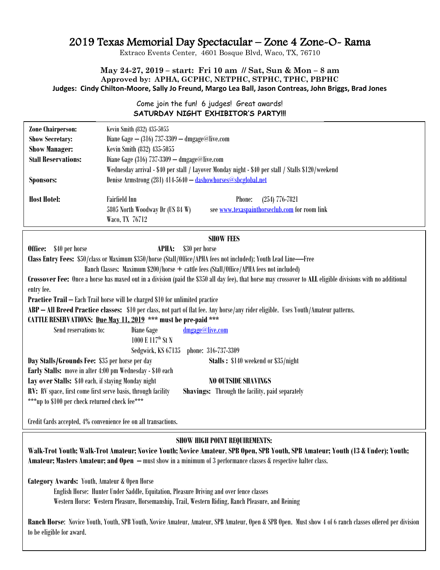# 2019 Texas Memorial Day Spectacular – Zone 4 Zone-O- Rama

Extraco Events Center, 4601 Bosque Blvd, Waco, TX, 76710

# **May 24-27, 2019 – start: Fri 10 am // Sat, Sun & Mon – 8 am Approved by: APHA, GCPHC, NETPHC, STPHC, TPHC, PBPHC Judges: Cindy Chilton-Moore, Sally Jo Freund, Margo Lea Ball, Jason Contreas, John Briggs, Brad Jones**

# Come join the fun! 6 judges! Great awards! **SATURDAY NIGHT EXHIBITOR'S PARTY!!!**

| <b>Zone Chairperson:</b>                                                                                                                                    | Kevin Smith (832) 435-5055                                                                        |  |
|-------------------------------------------------------------------------------------------------------------------------------------------------------------|---------------------------------------------------------------------------------------------------|--|
| <b>Show Secretary:</b>                                                                                                                                      | Diane Gage $-$ (316) 737-3309 $-$ dmgage@live.com                                                 |  |
| <b>Show Manager:</b>                                                                                                                                        | Kevin Smith (832) 435-5055                                                                        |  |
| <b>Stall Reservations:</b>                                                                                                                                  | Diane Gage (316) 737-3309 - dmgage@live.com                                                       |  |
|                                                                                                                                                             | Wednesday arrival - \$40 per stall / Layover Monday night - \$40 per stall / Stalls \$120/weekend |  |
| <b>Sponsors:</b>                                                                                                                                            | Denise Armstrong (281) 414-5640 - dashowhorses@shcglobal.net                                      |  |
|                                                                                                                                                             |                                                                                                   |  |
| <b>Host Hotel:</b>                                                                                                                                          | <b>Fairfield Inn</b><br>Phone:<br>$(254)$ 776-7821                                                |  |
|                                                                                                                                                             | 5805 North Woodway Dr (US 84 W)<br>see www.texaspainthorseclub.com for room link                  |  |
|                                                                                                                                                             | Waco, TX 76712                                                                                    |  |
|                                                                                                                                                             |                                                                                                   |  |
|                                                                                                                                                             | <b>SHOW FEES</b>                                                                                  |  |
| \$40 per horse<br>Office:                                                                                                                                   | \$30 per horse<br><b>APHA:</b>                                                                    |  |
| Class Entry Fees: \$50/class or Maximum \$350/horse (Stall/Office/APHA fees not included); Youth Lead Line—Free                                             |                                                                                                   |  |
| Ranch Classes: Maximum \$200/horse + cattle fees (Stall/Office/APHA fees not included)                                                                      |                                                                                                   |  |
| Crossover Fee: Once a horse has maxed out in a division (paid the \$350 all day fee), that horse may crossover to ALL eligible divisions with no additional |                                                                                                   |  |
| entry fee.                                                                                                                                                  |                                                                                                   |  |
| <b>Practice Trail - Each Trail horse will be charged \$10 for unlimited practice</b>                                                                        |                                                                                                   |  |
| ABP - All Breed Practice classes: \$10 per class, not part of flat fee. Any horse/any rider eligible. Uses Youth/Amateur patterns.                          |                                                                                                   |  |
| CATTLE RESERVATIONS: Due May 11, 2019 *** must be pre-paid ***                                                                                              |                                                                                                   |  |
| Send reservations to:                                                                                                                                       | dmgage@live.com<br>Diane Gage                                                                     |  |
|                                                                                                                                                             | 1000 E 117 <sup>th</sup> St N                                                                     |  |
|                                                                                                                                                             | phone: 316-737-3309<br>Sedgwick, KS 67135                                                         |  |
| Day Stalls/Grounds Fee: \$35 per horse per day<br>Stalls: \$140 weekend or \$35/night                                                                       |                                                                                                   |  |
| Early Stalls: move in after 4:00 pm Wednesday - \$40 each                                                                                                   |                                                                                                   |  |
| Lay over Stalls: \$40 each, if staying Monday night<br><b>NO OUTSIDE SHAVINGS</b>                                                                           |                                                                                                   |  |
| RV: RV space, first come first serve basis, through facility<br><b>Shavings:</b> Through the facility, paid separately                                      |                                                                                                   |  |
| ***up to \$100 per check returned check fee***                                                                                                              |                                                                                                   |  |
|                                                                                                                                                             |                                                                                                   |  |
| Credit Cards accepted, 4% convenience fee on all transactions.                                                                                              |                                                                                                   |  |

# **SHOW HIGH POINT REQUIREMENTS:**

**Walk-Trot Youth; Walk-Trot Amateur; Novice Youth; Novice Amateur**, **SPB Open, SPB Youth, SPB Amateur; Youth (13 & Under); Youth; Amateur; Masters Amateur; and Open –** must show in a minimum of 3 performance classes & respective halter class.

**Category Awards:** Youth, Amateur & Open Horse

English Horse: Hunter Under Saddle, Equitation, Pleasure Driving and over fence classes Western Horse: Western Pleasure, Horsemanship, Trail, Western Riding, Ranch Pleasure, and Reining

**Ranch Horse**: Novice Youth, Youth, SPB Youth, Novice Amateur, Amateur, SPB Amateur, Open & SPB Open. Must show 4 of 6 ranch classes offered per division to be eligible for award.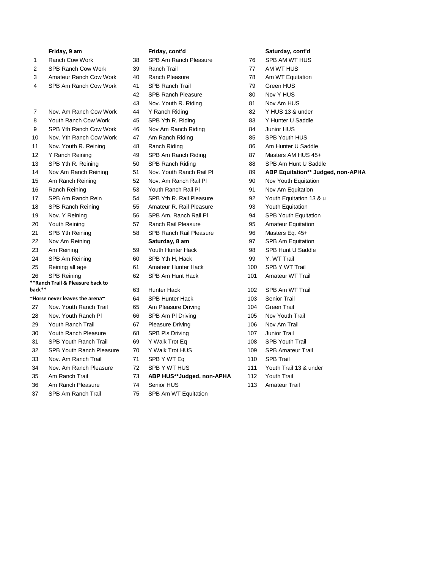- 
- 2 SPB Ranch Cow Work 39 Ranch Trail 77 AM WT HUS
- 3 Amateur Ranch Cow Work 40 Ranch Pleasure 78 Am WT Equitation
- 4 SPB Am Ranch Cow Work 41 SPB Ranch Trail 79 Green HUS
- 7 Nov. Am Ranch Cow Work 44 Y Ranch Riding 82 Y HUS 13 & under
- 8 Youth Ranch Cow Work 45 SPB Yth R. Riding 83 Y Hunter U Saddle
- 9 SPB Yth Ranch Cow Work 46 Nov Am Ranch Riding 84 Junior HUS
- 10 Nov. Yth Ranch Cow Work 47 Am Ranch Riding 85 SPB Youth HUS
- 11 Nov. Youth R. Reining 48 Ranch Riding 86 Am Hunter U Saddle
- 12 Y Ranch Reining **49 SPB Am Ranch Riding 61 Am And Act 2018** 187 Masters AM HUS 45+
- 13 SPB Yth R. Reining 50 SPB Ranch Riding 88 SPB Am Hunt U Saddle
- 
- 15 Am Ranch Reining 52 Nov. Am Ranch Rail Pl 90 Nov Youth Equitation
- 16 Ranch Reining 53 Youth Ranch Rail Pl 91 Nov Am Equitation
- 
- 18 SPB Ranch Reining 55 Amateur R. Rail Pleasure 93 Youth Equitation
- 
- 
- 21 SPB Yth Reining 58 SPB Ranch Rail Pleasure 96 Masters Eq. 45+
- 
- 23 Am Reining **59 Youth Hunter Hack** 98 SPB Hunt U Saddle
- 24 SPB Am Reining 60 SPB Yth H, Hack 99 Y. WT Trail
- 25 Reining all age 61 Amateur Hunter Hack 100 SPB Y WT Trail

# 26 SPB Reining 62 SPB Am Hunt Hack 101 Amateur WT Trail

# **\*\*Ranch Trail & Pleasure back to**

### **~Horse never leaves the arena~** 64 SPB Hunter Hack 103 Senior Trail

- 27 Nov. Youth Ranch Trail 65 Am Pleasure Driving 104 Green Trail
- 28 Nov. Youth Ranch Pl 66 SPB Am Pl Driving 105 Nov Youth Trail
- 29 Youth Ranch Trail 67 Pleasure Driving 106 Nov Am Trail
- 30 Youth Ranch Pleasure 68 SPB Pls Driving 107 Junior Trail
- 31 SPB Youth Ranch Trail 69 Y Walk Trot Eq 108 SPB Youth Trail
- 32 SPB Youth Ranch Pleasure 70 Y Walk Trot HUS 109 SPB Amateur Trail
- 33 Nov. Am Ranch Trail 71 SPB Y WT Eq 110 SPB Trail
- 34 Nov. Am Ranch Pleasure 72 SPB Y WT HUS 111 Youth Trail 13 & under
- 
- 36 Am Ranch Pleasure 74 Senior HUS 113 Amateur Trail
- 

- 1 Ranch Cow Work 38 SPB Am Ranch Pleasure 76 SPB AM WT HUS
	-
	-
	-
	- 42 SPB Ranch Pleasure 80 Nov Y HUS
	- 43 Nov. Youth R. Riding 81 Nov Am HUS
	-
	-
	-
	-
	-
	-
	-
	-
	-
	-
	-
	-
	-
	-
	-
	-
	-
	-
	-

## **back\*\*** 63 Hunter Hack 102 SPB Am WT Trail

- 
- 
- 
- 
- 
- 
- 
- 
- 

## 35 Am Ranch Trail 73 **ABP HUS\*\*Judged, non-APHA** 112 Youth Trail

- 
- 37 SPB Am Ranch Trail 75 SPB Am WT Equitation

## **Friday, 9 am Friday, cont'd Saturday, cont'd**

- 
- 
- 
- 
- 
- 
- 
- 
- 
- 
- 
- 
- 
- 14 Nov Am Ranch Reining 51 Nov. Youth Ranch Rail Pl 89 **ABP Equitation\*\* Judged, non-APHA**
	-
	-
- 17 SPB Am Ranch Rein 54 SPB Yth R. Rail Pleasure 92 Youth Equitation 13 & u
	-
- 19 Nov. Y Reining 56 SPB Am. Ranch Rail Pl 94 SPB Youth Equitation
- 20 Youth Reining 57 Ranch Rail Pleasure 95 Amateur Equitation
	-
- 22 Nov Am Reining **Saturday, 8 am** 97 SPB Am Equitation